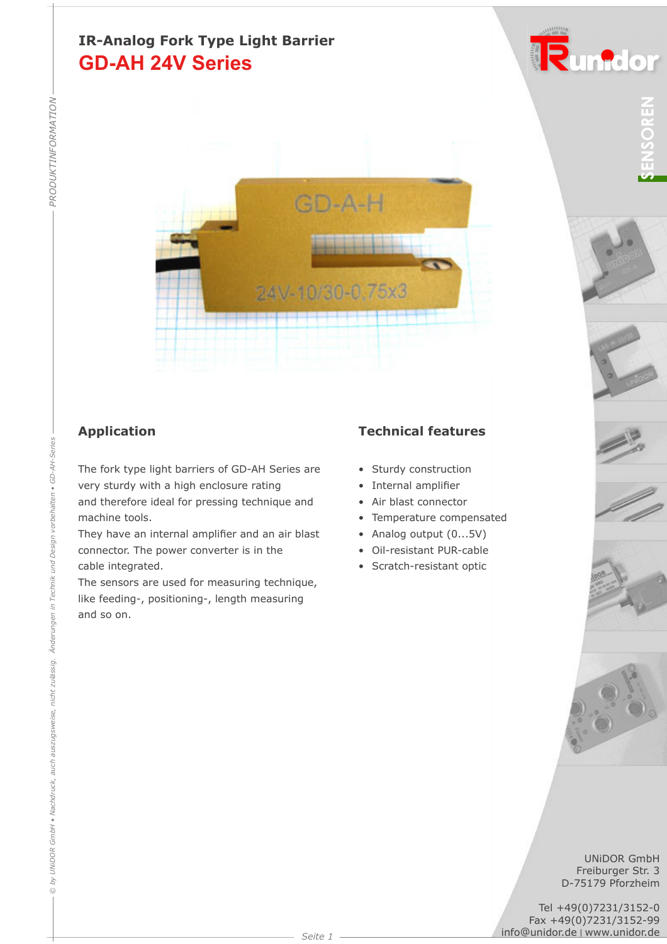## **GD-AH 24V Series IR-Analog Fork Type Light Barrier**



The fork type light barriers of GD-AH Series are very sturdy with a high enclosure rating and therefore ideal for pressing technique and machine tools.

They have an internal amplifier and an air blast connector. The power converter is in the cable integrated.

The sensors are used for measuring technique, like feeding-, positioning-, length measuring and so on.

#### **Application Technical features**

- Sturdy construction
- Internal amplifier
- Air blast connector
- Temperature compensated
- Analog output (0...5V)
- Oil-resistant PUR-cable
- Scratch-resistant optic



Runidor











UNiDOR GmbH Freiburger Str. 3 D-75179 Pforzheim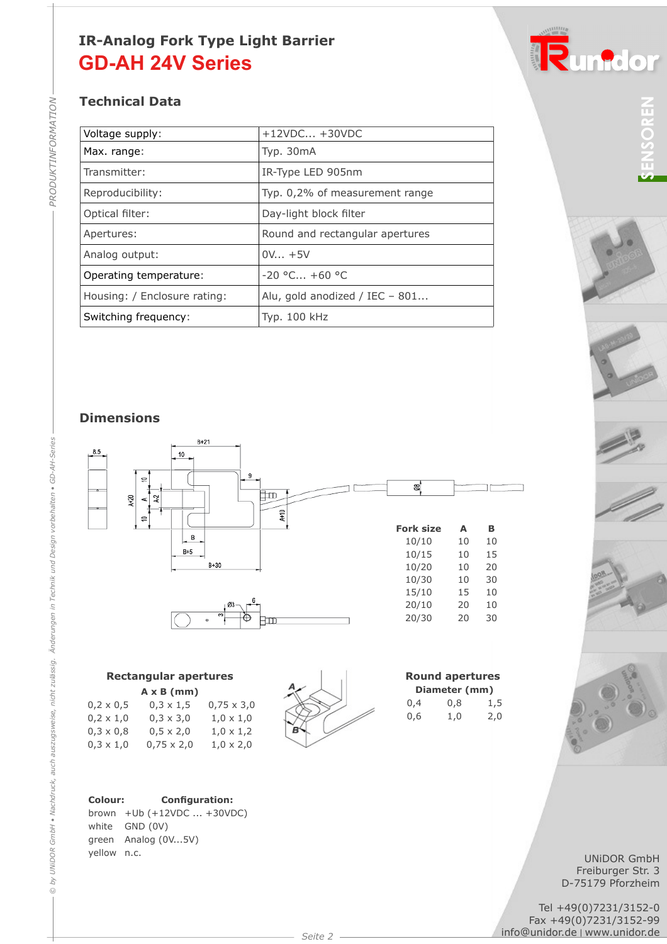## **GD-AH 24V Series IR-Analog Fork Type Light Barrier**

### **Technical Data**

| Voltage supply:              | $+12VDC +30VDC$                 |  |
|------------------------------|---------------------------------|--|
| Max. range:                  | Typ. 30mA                       |  |
| Transmitter:                 | IR-Type LED 905nm               |  |
| Reproducibility:             | Typ. 0,2% of measurement range  |  |
| Optical filter:              | Day-light block filter          |  |
| Apertures:                   | Round and rectangular apertures |  |
| Analog output:               | $0V_{\dots} + 5V$               |  |
| Operating temperature:       | $-20$ °C +60 °C                 |  |
| Housing: / Enclosure rating: | Alu, gold anodized / IEC - 801  |  |
| Switching frequency:         | Typ. 100 kHz                    |  |
|                              |                                 |  |

#### **Dimensions**



#### **Rectangular apertures A x B (mm)**

|                  | <b>AAD (IIIIII)</b> |                   |
|------------------|---------------------|-------------------|
| $0,2 \times 0,5$ | $0,3 \times 1,5$    | $0,75 \times 3,0$ |
| $0,2 \times 1,0$ | $0,3 \times 3,0$    | $1,0 \times 1,0$  |
| $0,3 \times 0,8$ | $0,5 \times 2,0$    | $1,0 \times 1,2$  |
| $0,3 \times 1,0$ | $0,75 \times 2,0$   | $1,0 \times 2,0$  |
|                  |                     |                   |

#### Colour: **Configuration:**

brown +Ub (+12VDC ... +30VDC) white GND (0V) green Analog (0V...5V) yellow n.c.



|     | <b>Round apertures</b> |     |
|-----|------------------------|-----|
|     | Diameter (mm)          |     |
| 0.4 | 0,8                    | 1,5 |
| 0,6 | 1,0                    | 2,0 |



Runidor



UNiDOR GmbH Freiburger Str. 3 D-75179 Pforzheim

Tel +49(0)7231/3152-0 Fax +49(0)7231/3152-99<br>info@unidor.de | www.unidor.de